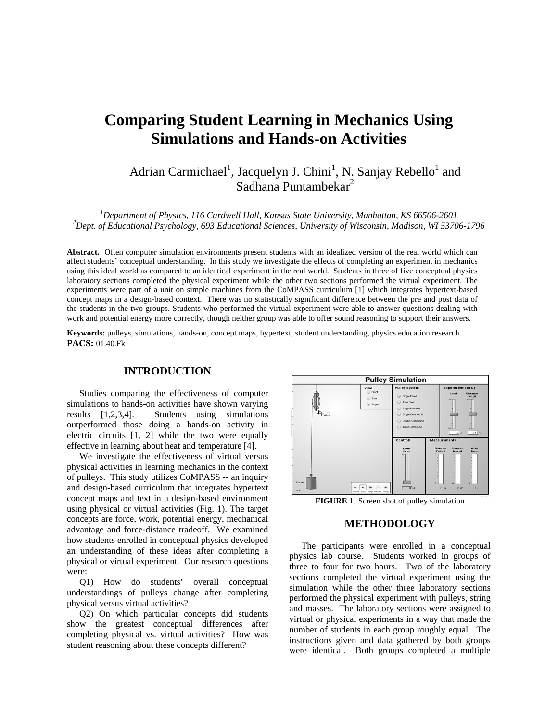# **Comparing Student Learning in Mechanics Using Simulations and Hands-on Activities**

Adrian Carmichael<sup>1</sup>, Jacquelyn J. Chini<sup>1</sup>, N. Sanjay Rebello<sup>1</sup> and Sadhana Puntambekar<sup>2</sup>

<sup>1</sup> *Department of Physics, 116 Cardwell Hall, Kansas State University, Manhattan, KS 66506-2601*<br><sup>2</sup> Dant of Educational Psychology, 603 Educational Sciences, University of Wisconsin, Madison, WI 5370 *Dept. of Educational Psychology, 693 Educational Sciences, University of Wisconsin, Madison, WI 53706-1796* 

**Abstract.** Often computer simulation environments present students with an idealized version of the real world which can affect students' conceptual understanding. In this study we investigate the effects of completing an experiment in mechanics using this ideal world as compared to an identical experiment in the real world. Students in three of five conceptual physics laboratory sections completed the physical experiment while the other two sections performed the virtual experiment. The experiments were part of a unit on simple machines from the CoMPASS curriculum [1] which integrates hypertext-based concept maps in a design-based context. There was no statistically significant difference between the pre and post data of the students in the two groups. Students who performed the virtual experiment were able to answer questions dealing with work and potential energy more correctly, though neither group was able to offer sound reasoning to support their answers.

**Keywords:** pulleys, simulations, hands-on, concept maps, hypertext, student understanding, physics education research **PACS:** 01.40.Fk

## **INTRODUCTION**

Studies comparing the effectiveness of computer simulations to hands-on activities have shown varying results [1,2,3,4]. Students using simulations outperformed those doing a hands-on activity in electric circuits [1, 2] while the two were equally effective in learning about heat and temperature [4].

We investigate the effectiveness of virtual versus physical activities in learning mechanics in the context of pulleys. This study utilizes CoMPASS -- an inquiry and design-based curriculum that integrates hypertext concept maps and text in a design-based environment using physical or virtual activities (Fig. 1). The target concepts are force, work, potential energy, mechanical advantage and force-distance tradeoff. We examined how students enrolled in conceptual physics developed an understanding of these ideas after completing a physical or virtual experiment. Our research questions were:

Q1) How do students' overall conceptual understandings of pulleys change after completing physical versus virtual activities?

Q2) On which particular concepts did students show the greatest conceptual differences after completing physical vs. virtual activities? How was student reasoning about these concepts different?



**FIGURE 1**. Screen shot of pulley simulation

## **METHODOLOGY**

The participants were enrolled in a conceptual physics lab course. Students worked in groups of three to four for two hours. Two of the laboratory sections completed the virtual experiment using the simulation while the other three laboratory sections performed the physical experiment with pulleys, string and masses. The laboratory sections were assigned to virtual or physical experiments in a way that made the number of students in each group roughly equal. The instructions given and data gathered by both groups were identical. Both groups completed a multiple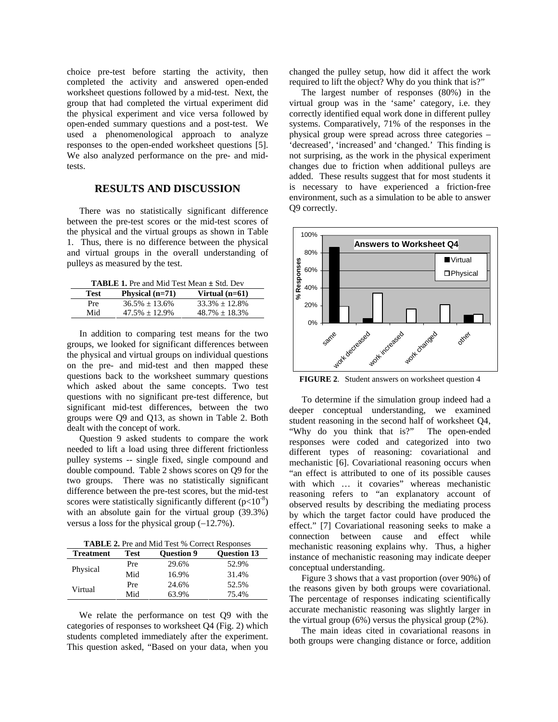choice pre-test before starting the activity, then completed the activity and answered open-ended worksheet questions followed by a mid-test. Next, the group that had completed the virtual experiment did the physical experiment and vice versa followed by open-ended summary questions and a post-test. We used a phenomenological approach to analyze responses to the open-ended worksheet questions [5]. We also analyzed performance on the pre- and midtests.

#### **RESULTS AND DISCUSSION**

There was no statistically significant difference between the pre-test scores or the mid-test scores of the physical and the virtual groups as shown in Table 1. Thus, there is no difference between the physical and virtual groups in the overall understanding of pulleys as measured by the test.

| <b>TABLE 1.</b> Pre and Mid Test Mean $\pm$ Std. Dev |                   |                     |  |  |
|------------------------------------------------------|-------------------|---------------------|--|--|
| Test                                                 | Physical $(n=71)$ | Virtual $(n=61)$    |  |  |
| Pre                                                  | $36.5\% + 13.6\%$ | $33.3\% + 12.8\%$   |  |  |
| Mid                                                  | $47.5\% + 12.9\%$ | $48.7\% \pm 18.3\%$ |  |  |

In addition to comparing test means for the two groups, we looked for significant differences between the physical and virtual groups on individual questions on the pre- and mid-test and then mapped these questions back to the worksheet summary questions which asked about the same concepts. Two test questions with no significant pre-test difference, but significant mid-test differences, between the two groups were Q9 and Q13, as shown in Table 2. Both dealt with the concept of work.

Question 9 asked students to compare the work needed to lift a load using three different frictionless pulley systems -- single fixed, single compound and double compound. Table 2 shows scores on Q9 for the two groups. There was no statistically significant difference between the pre-test scores, but the mid-test scores were statistically significantly different  $(p<10^{-8})$ with an absolute gain for the virtual group (39.3%) versus a loss for the physical group (−12.7%).

**TABLE 2.** Pre and Mid Test % Correct Responses

| <b>Treatment</b> | Test | <b>Ouestion 9</b> | <b>Ouestion 13</b> |
|------------------|------|-------------------|--------------------|
| Physical         | Pre  | 29.6%             | 52.9%              |
|                  | Mid  | 16.9%             | 31.4%              |
| Virtual          | Pre  | 24.6%             | 52.5%              |
|                  | Mid  | 63.9%             | 75.4%              |

We relate the performance on test Q9 with the categories of responses to worksheet Q4 (Fig. 2) which students completed immediately after the experiment. This question asked, "Based on your data, when you

changed the pulley setup, how did it affect the work required to lift the object? Why do you think that is?"

The largest number of responses (80%) in the virtual group was in the 'same' category, i.e. they correctly identified equal work done in different pulley systems. Comparatively, 71% of the responses in the physical group were spread across three categories – 'decreased', 'increased' and 'changed.' This finding is not surprising, as the work in the physical experiment changes due to friction when additional pulleys are added. These results suggest that for most students it is necessary to have experienced a friction-free environment, such as a simulation to be able to answer Q9 correctly.



**FIGURE 2**. Student answers on worksheet question 4

To determine if the simulation group indeed had a deeper conceptual understanding, we examined student reasoning in the second half of worksheet Q4, "Why do you think that is?" The open-ended responses were coded and categorized into two different types of reasoning: covariational and mechanistic [6]. Covariational reasoning occurs when "an effect is attributed to one of its possible causes with which ... it covaries" whereas mechanistic reasoning refers to "an explanatory account of observed results by describing the mediating process by which the target factor could have produced the effect." [7] Covariational reasoning seeks to make a connection between cause and effect while mechanistic reasoning explains why. Thus, a higher instance of mechanistic reasoning may indicate deeper conceptual understanding.

Figure 3 shows that a vast proportion (over 90%) of the reasons given by both groups were covariational. The percentage of responses indicating scientifically accurate mechanistic reasoning was slightly larger in the virtual group (6%) versus the physical group (2%).

The main ideas cited in covariational reasons in both groups were changing distance or force, addition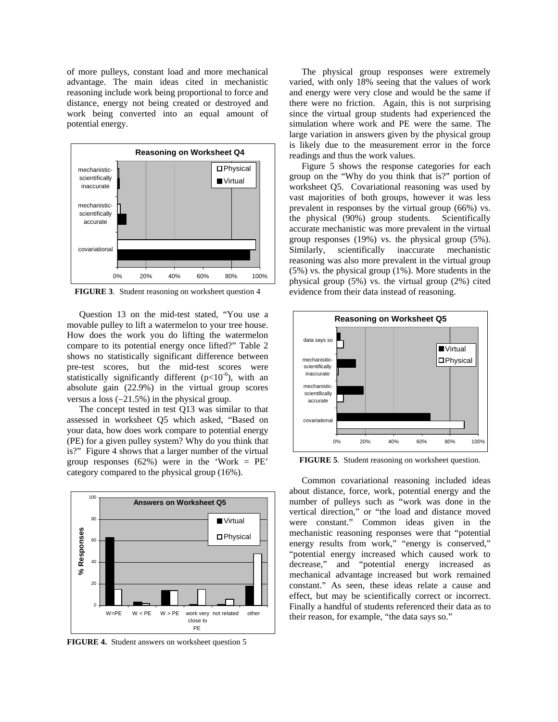of more pulleys, constant load and more mechanical advantage. The main ideas cited in mechanistic reasoning include work being proportional to force and distance, energy not being created or destroyed and work being converted into an equal amount of potential energy.



**FIGURE 3**. Student reasoning on worksheet question 4

Question 13 on the mid-test stated, "You use a movable pulley to lift a watermelon to your tree house. How does the work you do lifting the watermelon compare to its potential energy once lifted?" Table 2 shows no statistically significant difference between pre-test scores, but the mid-test scores were statistically significantly different ( $p<10^{-6}$ ), with an absolute gain (22.9%) in the virtual group scores versus a loss (−21.5%) in the physical group.

The concept tested in test Q13 was similar to that assessed in worksheet Q5 which asked, "Based on your data, how does work compare to potential energy (PE) for a given pulley system? Why do you think that is?" Figure 4 shows that a larger number of the virtual group responses  $(62%)$  were in the 'Work = PE' category compared to the physical group (16%).



**FIGURE 4.** Student answers on worksheet question 5

The physical group responses were extremely varied, with only 18% seeing that the values of work and energy were very close and would be the same if there were no friction. Again, this is not surprising since the virtual group students had experienced the simulation where work and PE were the same. The large variation in answers given by the physical group is likely due to the measurement error in the force readings and thus the work values.

Figure 5 shows the response categories for each group on the "Why do you think that is?" portion of worksheet Q5. Covariational reasoning was used by vast majorities of both groups, however it was less prevalent in responses by the virtual group (66%) vs. the physical (90%) group students. Scientifically accurate mechanistic was more prevalent in the virtual group responses (19%) vs. the physical group (5%). Similarly, scientifically inaccurate mechanistic reasoning was also more prevalent in the virtual group (5%) vs. the physical group (1%). More students in the physical group (5%) vs. the virtual group (2%) cited evidence from their data instead of reasoning.



**FIGURE 5**. Student reasoning on worksheet question.

Common covariational reasoning included ideas about distance, force, work, potential energy and the number of pulleys such as "work was done in the vertical direction," or "the load and distance moved were constant." Common ideas given in the mechanistic reasoning responses were that "potential energy results from work," "energy is conserved," "potential energy increased which caused work to decrease," and "potential energy increased as mechanical advantage increased but work remained constant." As seen, these ideas relate a cause and effect, but may be scientifically correct or incorrect. Finally a handful of students referenced their data as to their reason, for example, "the data says so."